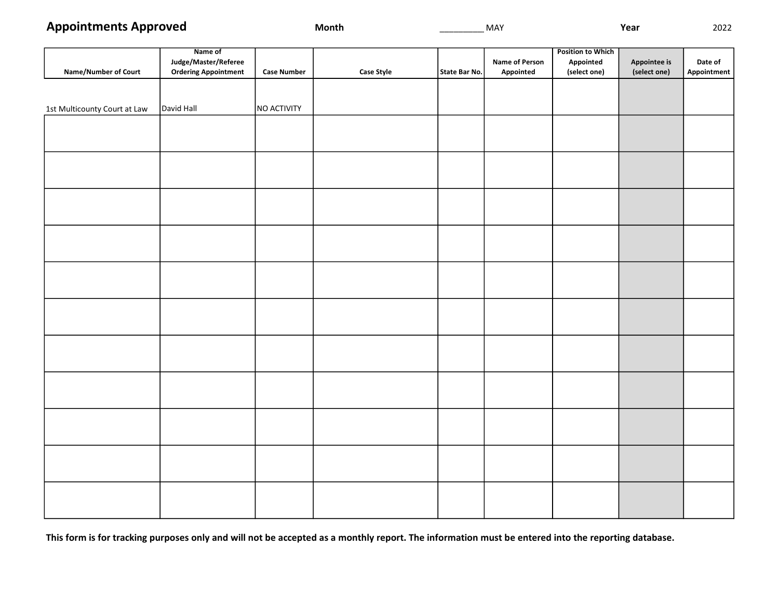|                              | Name of                     |                    |                   | <b>Position to Which</b> |                |              |              |             |  |  |
|------------------------------|-----------------------------|--------------------|-------------------|--------------------------|----------------|--------------|--------------|-------------|--|--|
|                              | Judge/Master/Referee        |                    |                   |                          | Name of Person | Appointed    | Appointee is | Date of     |  |  |
| <b>Name/Number of Court</b>  | <b>Ordering Appointment</b> | <b>Case Number</b> | <b>Case Style</b> | State Bar No.            | Appointed      | (select one) | (select one) | Appointment |  |  |
|                              |                             |                    |                   |                          |                |              |              |             |  |  |
|                              |                             |                    |                   |                          |                |              |              |             |  |  |
| 1st Multicounty Court at Law | David Hall                  | NO ACTIVITY        |                   |                          |                |              |              |             |  |  |
|                              |                             |                    |                   |                          |                |              |              |             |  |  |
|                              |                             |                    |                   |                          |                |              |              |             |  |  |
|                              |                             |                    |                   |                          |                |              |              |             |  |  |
|                              |                             |                    |                   |                          |                |              |              |             |  |  |
|                              |                             |                    |                   |                          |                |              |              |             |  |  |
|                              |                             |                    |                   |                          |                |              |              |             |  |  |
|                              |                             |                    |                   |                          |                |              |              |             |  |  |
|                              |                             |                    |                   |                          |                |              |              |             |  |  |
|                              |                             |                    |                   |                          |                |              |              |             |  |  |
|                              |                             |                    |                   |                          |                |              |              |             |  |  |
|                              |                             |                    |                   |                          |                |              |              |             |  |  |
|                              |                             |                    |                   |                          |                |              |              |             |  |  |
|                              |                             |                    |                   |                          |                |              |              |             |  |  |
|                              |                             |                    |                   |                          |                |              |              |             |  |  |
|                              |                             |                    |                   |                          |                |              |              |             |  |  |
|                              |                             |                    |                   |                          |                |              |              |             |  |  |
|                              |                             |                    |                   |                          |                |              |              |             |  |  |
|                              |                             |                    |                   |                          |                |              |              |             |  |  |
|                              |                             |                    |                   |                          |                |              |              |             |  |  |
|                              |                             |                    |                   |                          |                |              |              |             |  |  |
|                              |                             |                    |                   |                          |                |              |              |             |  |  |
|                              |                             |                    |                   |                          |                |              |              |             |  |  |
|                              |                             |                    |                   |                          |                |              |              |             |  |  |
|                              |                             |                    |                   |                          |                |              |              |             |  |  |
|                              |                             |                    |                   |                          |                |              |              |             |  |  |
|                              |                             |                    |                   |                          |                |              |              |             |  |  |
|                              |                             |                    |                   |                          |                |              |              |             |  |  |
|                              |                             |                    |                   |                          |                |              |              |             |  |  |
|                              |                             |                    |                   |                          |                |              |              |             |  |  |
|                              |                             |                    |                   |                          |                |              |              |             |  |  |
|                              |                             |                    |                   |                          |                |              |              |             |  |  |
|                              |                             |                    |                   |                          |                |              |              |             |  |  |
|                              |                             |                    |                   |                          |                |              |              |             |  |  |

This form is for tracking purposes only and will not be accepted as a monthly report. The information must be entered into the reporting database.